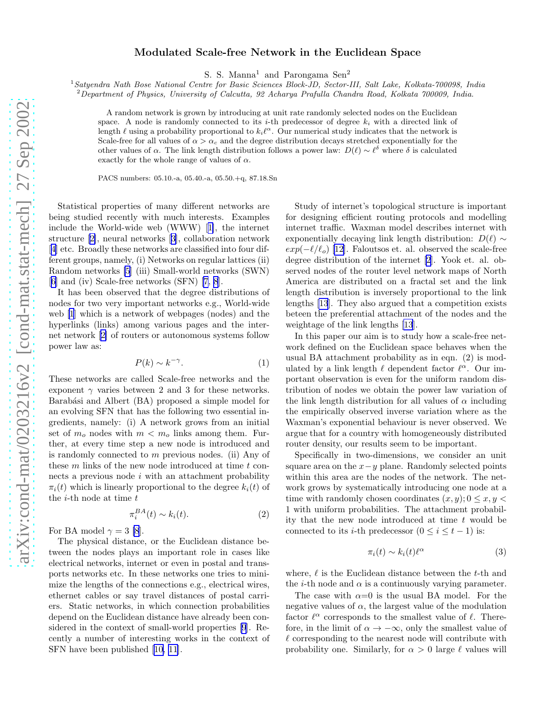## Modulated Scale-free Network in the Euclidean Space

S. S. Manna<sup>1</sup> and Parongama Sen<sup>2</sup>

<sup>1</sup>*Satyendra Nath Bose National Centre for Basic Sciences Block-JD, Sector-III, Salt Lake, Kolkata-700098, India*

<sup>2</sup>*Department of Physics, University of Calcutta, 92 Acharya Prafulla Chandra Road, Kolkata 700009, India.*

A random network is grown by introducing at unit rate randomly selected nodes on the Euclidean space. A node is randomly connected to its *i*-th predecessor of degree  $k_i$  with a directed link of length  $\ell$  using a probability proportional to  $k_i \ell^{\alpha}$ . Our numerical study indicates that the network is Scale-free for all values of  $\alpha > \alpha_c$  and the degree distribution decays stretched exponentially for the other values of  $\alpha$ . The link length distribution follows a power law:  $D(\ell) \sim \ell^{\delta}$  where  $\delta$  is calculated exactly for the whole range of values of  $\alpha$ .

PACS numbers: 05.10.-a, 05.40.-a, 05.50.+q, 87.18.Sn

Statistical properties of many different networks are being studied recently with much interests. Examples include the World-wide web (WWW)[[1\]](#page-3-0), the internet structure[[2\]](#page-3-0), neural networks[[3\]](#page-3-0), collaboration network [[4\]](#page-3-0) etc. Broadly these networks are classified into four different groups, namely, (i) Networks on regular lattices (ii) Random networks [\[5](#page-3-0)] (iii) Small-world networks (SWN) [[6\]](#page-3-0) and (iv) Scale-free networks (SFN) [\[7](#page-3-0), [8](#page-3-0)].

It has been observed that the degree distributions of nodes for two very important networks e.g., World-wide web [\[1](#page-3-0)] which is a network of webpages (nodes) and the hyperlinks (links) among various pages and the internet network[[2\]](#page-3-0) of routers or autonomous systems follow power law as:

$$
P(k) \sim k^{-\gamma}.\tag{1}
$$

These networks are called Scale-free networks and the exponent  $\gamma$  varies between 2 and 3 for these networks. Barabási and Albert (BA) proposed a simple model for an evolving SFN that has the following two essential ingredients, namely: (i) A network grows from an initial set of  $m<sub>o</sub>$  nodes with  $m < m<sub>o</sub>$  links among them. Further, at every time step a new node is introduced and is randomly connected to m previous nodes. (ii) Any of these  $m$  links of the new node introduced at time  $t$  connects a previous node  $i$  with an attachment probability  $\pi_i(t)$  which is linearly proportional to the degree  $k_i(t)$  of the  $i$ -th node at time  $t$ 

$$
\pi_i^{BA}(t) \sim k_i(t). \tag{2}
$$

For BA model  $\gamma = 3$  [\[8](#page-3-0)].

The physical distance, or the Euclidean distance between the nodes plays an important role in cases like electrical networks, internet or even in postal and transports networks etc. In these networks one tries to minimize the lengths of the connections e.g., electrical wires, ethernet cables or say travel distances of postal carriers. Static networks, in which connection probabilities depend on the Euclidean distance have already been considered in the context of small-world properties [\[9](#page-3-0)]. Recently a number of interesting works in the context of SFN have been published [\[10, 11](#page-3-0)].

Study of internet's topological structure is important for designing efficient routing protocols and modelling internet traffic. Waxman model describes internet with exponentially decaying link length distribution:  $D(\ell) \sim$  $exp(-\ell/\ell_o)$  [\[12](#page-3-0)]. Faloutsos et. al. observed the scale-free degree distribution of the internet [\[2](#page-3-0)]. Yook et. al. observed nodes of the router level network maps of North America are distributed on a fractal set and the link length distribution is inversely proportional to the link lengths [\[13](#page-3-0)]. They also argued that a competition exists beteen the preferential attachment of the nodes and the weightage of the link lengths [\[13](#page-3-0)].

In this paper our aim is to study how a scale-free network defined on the Euclidean space behaves when the usual BA attachment probability as in eqn. (2) is modulated by a link length  $\ell$  dependent factor  $\ell^{\alpha}$ . Our important observation is even for the uniform random distribution of nodes we obtain the power law variation of the link length distribution for all values of  $\alpha$  including the empirically observed inverse variation where as the Waxman's exponential behaviour is never observed. We argue that for a country with homogeneously distributed router density, our results seem to be important.

Specifically in two-dimensions, we consider an unit square area on the  $x-y$  plane. Randomly selected points within this area are the nodes of the network. The network grows by systematically introducing one node at a time with randomly chosen coordinates  $(x, y)$ ;  $0 \le x, y \le$ 1 with uniform probabilities. The attachment probability that the new node introduced at time  $t$  would be connected to its *i*-th predecessor  $(0 \le i \le t - 1)$  is:

$$
\pi_i(t) \sim k_i(t)\ell^{\alpha} \tag{3}
$$

where,  $\ell$  is the Euclidean distance between the t-th and the *i*-th node and  $\alpha$  is a continuously varying parameter.

The case with  $\alpha=0$  is the usual BA model. For the negative values of  $\alpha$ , the largest value of the modulation factor  $\ell^{\alpha}$  corresponds to the smallest value of  $\ell$ . Therefore, in the limit of  $\alpha \to -\infty$ , only the smallest value of  $\ell$  corresponding to the nearest node will contribute with probability one. Similarly, for  $\alpha > 0$  large  $\ell$  values will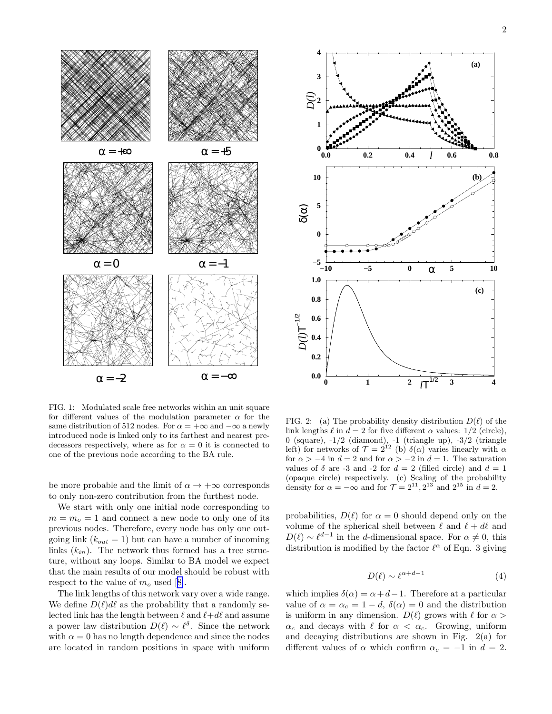

FIG. 1: Modulated scale free networks within an unit square for different values of the modulation parameter  $\alpha$  for the same distribution of 512 nodes. For  $\alpha = +\infty$  and  $-\infty$  a newly introduced node is linked only to its farthest and nearest predecessors respectively, where as for  $\alpha = 0$  it is connected to one of the previous node according to the BA rule.

be more probable and the limit of  $\alpha \to +\infty$  corresponds to only non-zero contribution from the furthest node.

We start with only one initial node corresponding to  $m = m<sub>o</sub> = 1$  and connect a new node to only one of its previous nodes. Therefore, every node has only one outgoing link  $(k_{out} = 1)$  but can have a number of incoming links  $(k_{in})$ . The network thus formed has a tree structure, without any loops. Similar to BA model we expect that the main results of our model should be robust with respectto the value of  $m<sub>o</sub>$  used [[8\]](#page-3-0).

The link lengths of this network vary over a wide range. We define  $D(\ell) d\ell$  as the probability that a randomly selected link has the length between  $\ell$  and  $\ell+d\ell$  and assume a power law distribution  $D(\ell) \sim \ell^{\delta}$ . Since the network with  $\alpha = 0$  has no length dependence and since the nodes are located in random positions in space with uniform



FIG. 2: (a) The probability density distribution  $D(\ell)$  of the link lengths  $\ell$  in  $d = 2$  for five different  $\alpha$  values: 1/2 (circle), 0 (square),  $-1/2$  (diamond),  $-1$  (triangle up),  $-3/2$  (triangle left) for networks of  $\mathcal{T} = 2^{12}$  (b)  $\delta(\alpha)$  varies linearly with  $\alpha$ for  $\alpha > -4$  in  $d = 2$  and for  $\alpha > -2$  in  $d = 1$ . The saturation values of  $\delta$  are -3 and -2 for  $d = 2$  (filled circle) and  $d = 1$ (opaque circle) respectively. (c) Scaling of the probability density for  $\alpha = -\infty$  and for  $\mathcal{T} = 2^{11}, 2^{13}$  and  $2^{15}$  in  $d = 2$ .

probabilities,  $D(\ell)$  for  $\alpha = 0$  should depend only on the volume of the spherical shell between  $\ell$  and  $\ell + d\ell$  and  $D(\ell) \sim \ell^{d-1}$  in the d-dimensional space. For  $\alpha \neq 0$ , this distribution is modified by the factor  $\ell^{\alpha}$  of Eqn. 3 giving

$$
D(\ell) \sim \ell^{\alpha + d - 1} \tag{4}
$$

which implies  $\delta(\alpha) = \alpha + d - 1$ . Therefore at a particular value of  $\alpha = \alpha_c = 1 - d$ ,  $\delta(\alpha) = 0$  and the distribution is uniform in any dimension.  $D(\ell)$  grows with  $\ell$  for  $\alpha >$  $\alpha_c$  and decays with  $\ell$  for  $\alpha < \alpha_c$ . Growing, uniform and decaying distributions are shown in Fig. 2(a) for different values of  $\alpha$  which confirm  $\alpha_c = -1$  in  $d = 2$ .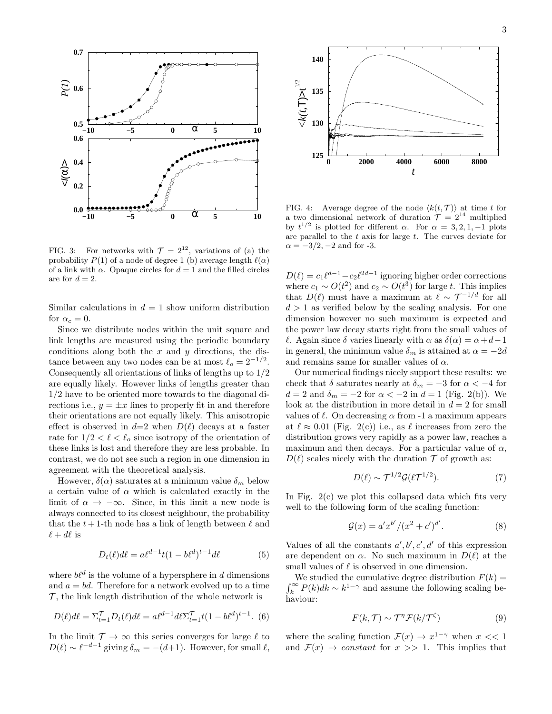

FIG. 3: For networks with  $\mathcal{T} = 2^{12}$ , variations of (a) the probability  $P(1)$  of a node of degree 1 (b) average length  $\ell(\alpha)$ of a link with  $\alpha$ . Opaque circles for  $d = 1$  and the filled circles are for  $d = 2$ .

Similar calculations in  $d = 1$  show uniform distribution for  $\alpha_c = 0$ .

Since we distribute nodes within the unit square and link lengths are measured using the periodic boundary conditions along both the  $x$  and  $y$  directions, the distance between any two nodes can be at most  $\ell_o = 2^{-1/2}$ . Consequently all orientations of links of lengths up to 1/2 are equally likely. However links of lengths greater than 1/2 have to be oriented more towards to the diagonal directions i.e.,  $y = \pm x$  lines to properly fit in and therefore their orientations are not equally likely. This anisotropic effect is observed in  $d=2$  when  $D(\ell)$  decays at a faster rate for  $1/2 < \ell < \ell_o$  since isotropy of the orientation of these links is lost and therefore they are less probable. In contrast, we do not see such a region in one dimension in agreement with the theoretical analysis.

However,  $\delta(\alpha)$  saturates at a minimum value  $\delta_m$  below a certain value of  $\alpha$  which is calculated exactly in the limit of  $\alpha \to -\infty$ . Since, in this limit a new node is always connected to its closest neighbour, the probability that the  $t + 1$ -th node has a link of length between  $\ell$  and  $\ell + d\ell$  is

$$
D_t(\ell)d\ell = a\ell^{d-1}t(1-b\ell^d)^{t-1}d\ell \tag{5}
$$

where  $b\ell^d$  is the volume of a hypersphere in d dimensions and  $a = bd$ . Therefore for a network evolved up to a time  $\mathcal{T}$ , the link length distribution of the whole network is

$$
D(\ell)d\ell = \Sigma_{t=1}^{\mathcal{T}} D_t(\ell)d\ell = a\ell^{d-1}d\ell \Sigma_{t=1}^{\mathcal{T}} t(1-b\ell^d)^{t-1}.
$$
 (6)

In the limit  $\mathcal{T} \to \infty$  this series converges for large  $\ell$  to  $D(\ell) \sim \ell^{-d-1}$  giving  $\delta_m = -(d+1)$ . However, for small  $\ell$ ,



FIG. 4: Average degree of the node  $\langle k(t, \mathcal{T}) \rangle$  at time t for a two dimensional network of duration  $\mathcal{T} = 2^{14}$  multiplied by  $t^{1/2}$  is plotted for different  $\alpha$ . For  $\alpha = 3, 2, 1, -1$  plots are parallel to the t axis for large t. The curves deviate for  $\alpha = -3/2, -2$  and for -3.

 $D(\ell) = c_1 \ell^{d-1} - c_2 \ell^{2d-1}$  ignoring higher order corrections where  $c_1 \sim O(t^2)$  and  $c_2 \sim O(t^3)$  for large t. This implies that  $D(\ell)$  must have a maximum at  $\ell \sim \mathcal{T}^{-1/d}$  for all  $d > 1$  as verified below by the scaling analysis. For one dimension however no such maximum is expected and the power law decay starts right from the small values of  $ℓ.$  Again since δ varies linearly with α as  $δ(α) = α + d - 1$ in general, the minimum value  $\delta_m$  is attained at  $\alpha = -2d$ and remains same for smaller values of  $\alpha$ .

Our numerical findings nicely support these results: we check that  $\delta$  saturates nearly at  $\delta_m = -3$  for  $\alpha < -4$  for  $d = 2$  and  $\delta_m = -2$  for  $\alpha < -2$  in  $d = 1$  (Fig. 2(b)). We look at the distribution in more detail in  $d = 2$  for small values of  $\ell$ . On decreasing  $\alpha$  from -1 a maximum appears at  $\ell \approx 0.01$  (Fig. 2(c)) i.e., as  $\ell$  increases from zero the distribution grows very rapidly as a power law, reaches a maximum and then decays. For a particular value of  $\alpha$ ,  $D(\ell)$  scales nicely with the duration  $\mathcal T$  of growth as:

$$
D(\ell) \sim \mathcal{T}^{1/2} \mathcal{G}(\ell \mathcal{T}^{1/2}).\tag{7}
$$

In Fig. 2(c) we plot this collapsed data which fits very well to the following form of the scaling function:

$$
\mathcal{G}(x) = a'x^{b'}/(x^2 + c')^{d'}.
$$
 (8)

Values of all the constants  $a', b', c', d'$  of this expression are dependent on  $\alpha$ . No such maximum in  $D(\ell)$  at the small values of  $\ell$  is observed in one dimension.

 $\int_{t}^{\infty}$ We studied the cumulative degree distribution  $F(k) =$  $\int_k^{\infty} P(k)dk \sim k^{1-\gamma}$  and assume the following scaling behaviour:

$$
F(k,\mathcal{T}) \sim \mathcal{T}^{\eta} \mathcal{F}(k/\mathcal{T}^{\zeta}) \tag{9}
$$

where the scaling function  $\mathcal{F}(x) \to x^{1-\gamma}$  when  $x \ll 1$ and  $\mathcal{F}(x) \rightarrow constant$  for  $x \gg 1$ . This implies that